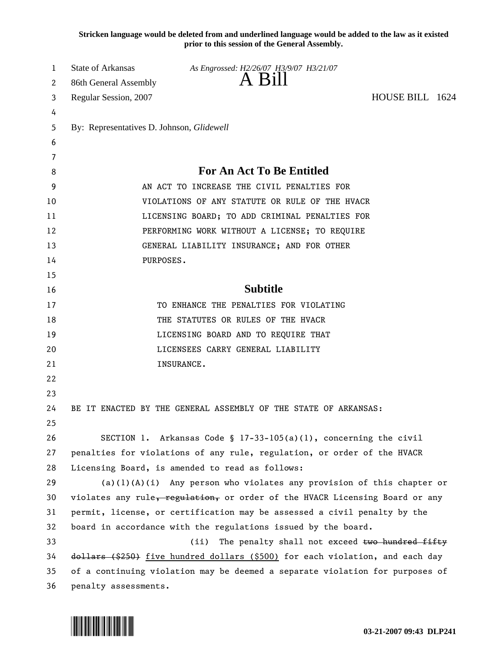**Stricken language would be deleted from and underlined language would be added to the law as it existed prior to this session of the General Assembly.**

| 1  | <b>State of Arkansas</b>                                                      | As Engrossed: H2/26/07 H3/9/07 H3/21/07                          |                 |  |  |
|----|-------------------------------------------------------------------------------|------------------------------------------------------------------|-----------------|--|--|
| 2  | 86th General Assembly                                                         | A Bill                                                           |                 |  |  |
| 3  | Regular Session, 2007                                                         |                                                                  | HOUSE BILL 1624 |  |  |
| 4  |                                                                               |                                                                  |                 |  |  |
| 5  | By: Representatives D. Johnson, Glidewell                                     |                                                                  |                 |  |  |
| 6  |                                                                               |                                                                  |                 |  |  |
| 7  |                                                                               |                                                                  |                 |  |  |
| 8  | <b>For An Act To Be Entitled</b>                                              |                                                                  |                 |  |  |
| 9  | AN ACT TO INCREASE THE CIVIL PENALTIES FOR                                    |                                                                  |                 |  |  |
| 10 | VIOLATIONS OF ANY STATUTE OR RULE OF THE HVACR                                |                                                                  |                 |  |  |
| 11 | LICENSING BOARD; TO ADD CRIMINAL PENALTIES FOR                                |                                                                  |                 |  |  |
| 12 | PERFORMING WORK WITHOUT A LICENSE; TO REQUIRE                                 |                                                                  |                 |  |  |
| 13 | GENERAL LIABILITY INSURANCE; AND FOR OTHER                                    |                                                                  |                 |  |  |
| 14 | PURPOSES.                                                                     |                                                                  |                 |  |  |
| 15 |                                                                               |                                                                  |                 |  |  |
| 16 |                                                                               | <b>Subtitle</b>                                                  |                 |  |  |
| 17 |                                                                               | TO ENHANCE THE PENALTIES FOR VIOLATING                           |                 |  |  |
| 18 | THE STATUTES OR RULES OF THE HVACR                                            |                                                                  |                 |  |  |
| 19 | LICENSING BOARD AND TO REQUIRE THAT                                           |                                                                  |                 |  |  |
| 20 | LICENSEES CARRY GENERAL LIABILITY                                             |                                                                  |                 |  |  |
| 21 |                                                                               | INSURANCE.                                                       |                 |  |  |
| 22 |                                                                               |                                                                  |                 |  |  |
| 23 |                                                                               |                                                                  |                 |  |  |
| 24 | BE IT ENACTED BY THE GENERAL ASSEMBLY OF THE STATE OF ARKANSAS:               |                                                                  |                 |  |  |
| 25 |                                                                               |                                                                  |                 |  |  |
| 26 |                                                                               | SECTION 1. Arkansas Code § 17-33-105(a)(1), concerning the civil |                 |  |  |
| 27 | penalties for violations of any rule, regulation, or order of the HVACR       |                                                                  |                 |  |  |
| 28 | Licensing Board, is amended to read as follows:                               |                                                                  |                 |  |  |
| 29 | $(a)(1)(A)(i)$ Any person who violates any provision of this chapter or       |                                                                  |                 |  |  |
| 30 | violates any rule, regulation, or order of the HVACR Licensing Board or any   |                                                                  |                 |  |  |
| 31 | permit, license, or certification may be assessed a civil penalty by the      |                                                                  |                 |  |  |
| 32 | board in accordance with the regulations issued by the board.                 |                                                                  |                 |  |  |
| 33 | The penalty shall not exceed two hundred fifty<br>(ii)                        |                                                                  |                 |  |  |
| 34 | dollars (\$250) five hundred dollars (\$500) for each violation, and each day |                                                                  |                 |  |  |
| 35 | of a continuing violation may be deemed a separate violation for purposes of  |                                                                  |                 |  |  |
| 36 | penalty assessments.                                                          |                                                                  |                 |  |  |

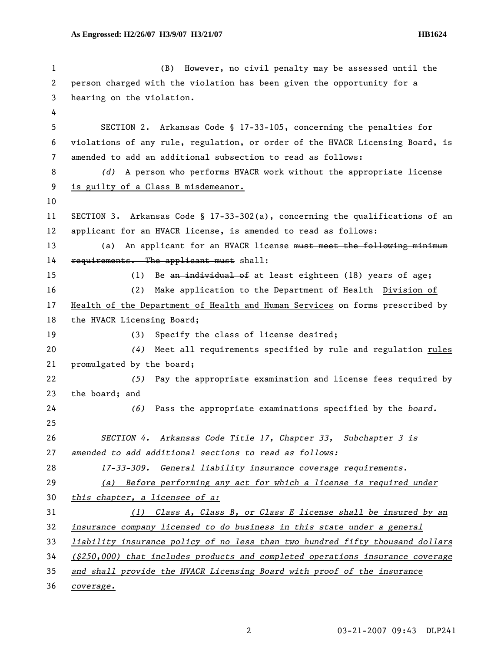1 (B) However, no civil penalty may be assessed until the 2 person charged with the violation has been given the opportunity for a 3 hearing on the violation. 4 5 SECTION 2. Arkansas Code § 17-33-105, concerning the penalties for 6 violations of any rule, regulation, or order of the HVACR Licensing Board, is 7 amended to add an additional subsection to read as follows: 8 *(d)* A person who performs HVACR work without the appropriate license 9 is guilty of a Class B misdemeanor. 10 11 SECTION 3. Arkansas Code § 17-33-302(a), concerning the qualifications of an 12 applicant for an HVACR license, is amended to read as follows: 13 (a) An applicant for an HVACR license must meet the following minimum 14 requirements. The applicant must shall: 15 (1) Be an individual of at least eighteen (18) years of age; 16 (2) Make application to the Department of Health Division of 17 Health of the Department of Health and Human Services on forms prescribed by 18 the HVACR Licensing Board; 19 (3) Specify the class of license desired; 20 *(4)* Meet all requirements specified by rule and regulation rules 21 promulgated by the board; 22 *(5)* Pay the appropriate examination and license fees required by 23 the board; and 24 *(6)* Pass the appropriate examinations specified by the *board.*  25 26 *SECTION 4. Arkansas Code Title 17, Chapter 33, Subchapter 3 is*  27 *amended to add additional sections to read as follows:*  28 *17-33-309. General liability insurance coverage requirements.* 29 *(a) Before performing any act for which a license is required under*  30 *this chapter, a licensee of a:* 31 *(1) Class A, Class B, or Class E license shall be insured by an*  32 *insurance company licensed to do business in this state under a general*  33 *liability insurance policy of no less than two hundred fifty thousand dollars*  34 *(\$250,000) that includes products and completed operations insurance coverage*  35 *and shall provide the HVACR Licensing Board with proof of the insurance*  36 *coverage.*